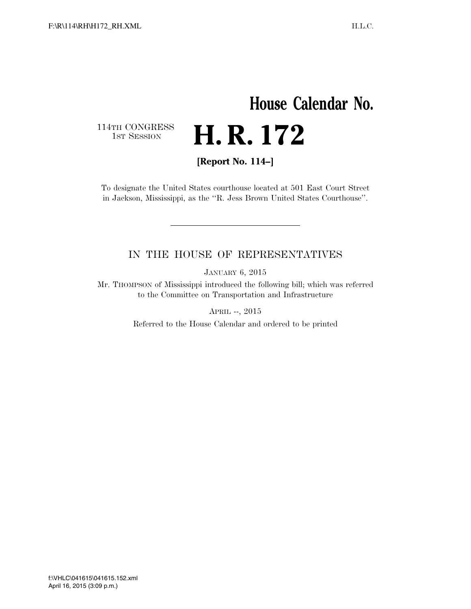## **House Calendar No.**  114TH CONGRESS<br>1st Session H. R. 172

**[Report No. 114–]** 

To designate the United States courthouse located at 501 East Court Street in Jackson, Mississippi, as the ''R. Jess Brown United States Courthouse''.

### IN THE HOUSE OF REPRESENTATIVES

JANUARY 6, 2015

Mr. THOMPSON of Mississippi introduced the following bill; which was referred to the Committee on Transportation and Infrastructure

APRIL --, 2015

Referred to the House Calendar and ordered to be printed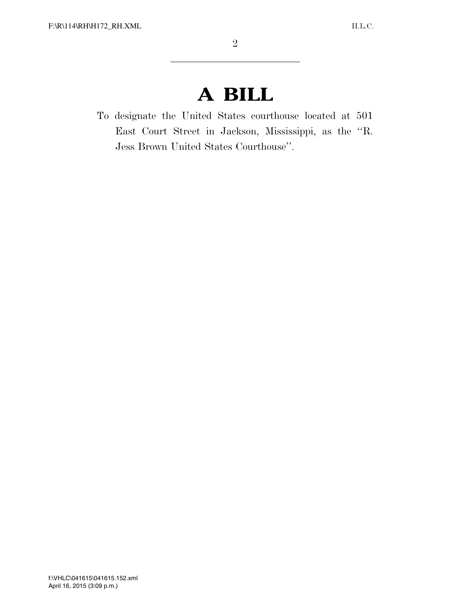# **A BILL**

To designate the United States courthouse located at 501 East Court Street in Jackson, Mississippi, as the ''R. Jess Brown United States Courthouse''.